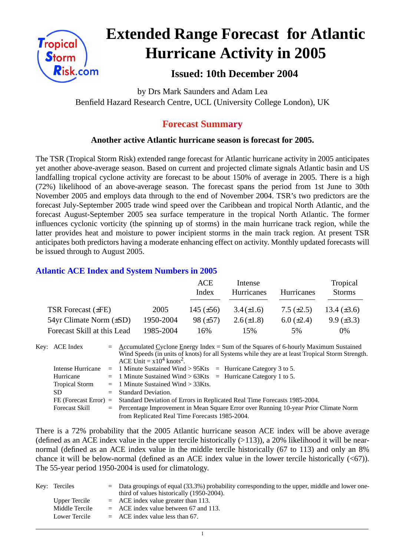

# **Extended Range Forecast for Atlantic Hurricane Activity in 2005**

# **Issued: 10th December 2004**

by Drs Mark Saunders and Adam Lea Benfield Hazard Research Centre, UCL (University College London), UK

# **Forecast Summary**

## **Another active Atlantic hurricane season is forecast for 2005.**

The TSR (Tropical Storm Risk) extended range forecast for Atlantic hurricane activity in 2005 anticipates yet another above-average season. Based on current and projected climate signals Atlantic basin and US landfalling tropical cyclone activity are forecast to be about 150% of average in 2005. There is a high (72%) likelihood of an above-average season. The forecast spans the period from 1st June to 30th November 2005 and employs data through to the end of November 2004. TSR's two predictors are the forecast July-September 2005 trade wind speed over the Caribbean and tropical North Atlantic, and the forecast August-September 2005 sea surface temperature in the tropical North Atlantic. The former influences cyclonic vorticity (the spinning up of storms) in the main hurricane track region, while the latter provides heat and moisture to power incipient storms in the main track region. At present TSR anticipates both predictors having a moderate enhancing effect on activity. Monthly updated forecasts will be issued through to August 2005.

### **Atlantic ACE Index and System Numbers in 2005**

|                                |           | ACE<br>Index   | Intense<br><b>Hurricanes</b> | Hurricanes        | Tropical<br><b>Storms</b> |
|--------------------------------|-----------|----------------|------------------------------|-------------------|---------------------------|
| TSR Forecast $(\pm FE)$        | 2005      | 145 $(\pm 56)$ | $3.4(\pm 1.6)$               | $7.5 \ (\pm 2.5)$ | 13.4 $(\pm 3.6)$          |
| $54yr$ Climate Norm $(\pm SD)$ | 1950-2004 | $98 (\pm 57)$  | $2.6(\pm 1.8)$               | $6.0 \ (\pm 2.4)$ | $9.9 \ (\pm 3.3)$         |
| Forecast Skill at this Lead    | 1985-2004 | 16%            | 15%                          | .5%               | 0%                        |

Key: ACE Index =  $\triangle$  ccumulated Cyclone Energy Index = Sum of the Squares of 6-hourly Maximum Sustained Wind Speeds (in units of knots) for all Systems while they are at least Tropical Storm Strength. ACE Unit  $= x10^4$  knots<sup>2</sup>. Intense Hurricane = 1 Minute Sustained Wind > 95Kts = Hurricane Category 3 to 5. Hurricane  $= 1$  Minute Sustained Wind  $> 63K$ ts = Hurricane Category 1 to 5. Tropical Storm = 1 Minute Sustained Wind > 33Kts. SD = Standard Deviation.

FE (Forecast Error) = Standard Deviation of Errors in Replicated Real Time Forecasts 1985-2004. Forecast Skill = Percentage Improvement in Mean Square Error over Running 10-year Prior Climate Norm from Replicated Real Time Forecasts 1985-2004.

There is a 72% probability that the 2005 Atlantic hurricane season ACE index will be above average (defined as an ACE index value in the upper tercile historically  $(>113)$ ), a 20% likelihood it will be nearnormal (defined as an ACE index value in the middle tercile historically (67 to 113) and only an 8% chance it will be below-normal (defined as an ACE index value in the lower tercile historically  $(\leq 67)$ ). The 55-year period 1950-2004 is used for climatology.

| Key: Terciles  | $=$ Data groupings of equal (33.3%) probability corresponding to the upper, middle and lower one-<br>third of values historically (1950-2004). |
|----------------|------------------------------------------------------------------------------------------------------------------------------------------------|
| Upper Tercile  | $=$ ACE index value greater than 113.                                                                                                          |
| Middle Tercile | $=$ ACE index value between 67 and 113.                                                                                                        |
| Lower Tercile  | $=$ ACE index value less than 67.                                                                                                              |

1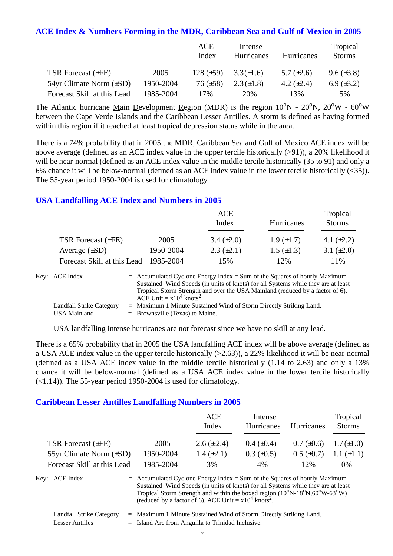#### **ACE Index & Numbers Forming in the MDR, Caribbean Sea and Gulf of Mexico in 2005**

|                                |           | ACE<br>Index   | Intense<br>Hurricanes | Hurricanes      | Tropical<br><b>Storms</b> |
|--------------------------------|-----------|----------------|-----------------------|-----------------|---------------------------|
| <b>TSR Forecast (±FE)</b>      | 2005      | $128 (\pm 59)$ | $3.3(\pm 1.6)$        | 5.7 $(\pm 2.6)$ | $9.6 (\pm 3.8)$           |
| $54yr$ Climate Norm $(\pm SD)$ | 1950-2004 | $76 (\pm 58)$  | $2.3(\pm 1.8)$        | 4.2 $(\pm 2.4)$ | 6.9 $(\pm 3.2)$           |
| Forecast Skill at this Lead    | 1985-2004 | 17%            | 20%                   | 13%             | 5%                        |

The Atlantic hurricane Main Development Region (MDR) is the region  $10^{\circ}N - 20^{\circ}N$ ,  $20^{\circ}W - 60^{\circ}W$ between the Cape Verde Islands and the Caribbean Lesser Antilles. A storm is defined as having formed within this region if it reached at least tropical depression status while in the area.

There is a 74% probability that in 2005 the MDR, Caribbean Sea and Gulf of Mexico ACE index will be above average (defined as an ACE index value in the upper tercile historically (>91)), a 20% likelihood it will be near-normal (defined as an ACE index value in the middle tercile historically (35 to 91) and only a 6% chance it will be below-normal (defined as an ACE index value in the lower tercile historically (<35)). The 55-year period 1950-2004 is used for climatology.

#### **USA Landfalling ACE Index and Numbers in 2005**

|                             |           | <b>ACE</b><br>Index | Hurricanes        | Tropical<br><b>Storms</b> |
|-----------------------------|-----------|---------------------|-------------------|---------------------------|
| TSR Forecast $(\pm FE)$     | 2005      | $3.4 \ (\pm 2.0)$   | $1.9 \ (\pm 1.7)$ | 4.1 $(\pm 2.2)$           |
| Average $(\pm SD)$          | 1950-2004 | $2.3 \ (\pm 2.1)$   | $1.5 \ (\pm 1.3)$ | 3.1 $(\pm 2.0)$           |
| Forecast Skill at this Lead | 1985-2004 | 15%                 | 12%               | 11\%                      |

| Key: ACE Index                  | $=$ Accumulated Cyclone Energy Index $=$ Sum of the Squares of hourly Maximum     |
|---------------------------------|-----------------------------------------------------------------------------------|
|                                 | Sustained Wind Speeds (in units of knots) for all Systems while they are at least |
|                                 | Tropical Storm Strength and over the USA Mainland (reduced by a factor of 6).     |
|                                 | ACE Unit = $x10^4$ knots <sup>2</sup> .                                           |
| <b>Landfall Strike Category</b> | $=$ Maximum 1 Minute Sustained Wind of Storm Directly Striking Land.              |
| <b>USA Mainland</b>             | $=$ Brownsville (Texas) to Maine.                                                 |

USA landfalling intense hurricanes are not forecast since we have no skill at any lead.

There is a 65% probability that in 2005 the USA landfalling ACE index will be above average (defined as a USA ACE index value in the upper tercile historically (>2.63)), a 22% likelihood it will be near-normal (defined as a USA ACE index value in the middle tercile historically (1.14 to 2.63) and only a 13% chance it will be below-normal (defined as a USA ACE index value in the lower tercile historically  $(\leq 1.14)$ ). The 55-year period 1950-2004 is used for climatology.

#### **Caribbean Lesser Antilles Landfalling Numbers in 2005**

|                              |                                                                                                                                                                                                                                                                             | <b>ACE</b><br>Index | Intense<br>Hurricanes | Hurricanes        | Tropical<br><b>Storms</b> |
|------------------------------|-----------------------------------------------------------------------------------------------------------------------------------------------------------------------------------------------------------------------------------------------------------------------------|---------------------|-----------------------|-------------------|---------------------------|
| <b>TSR Forecast (±FE)</b>    | 2005                                                                                                                                                                                                                                                                        | $2.6 (\pm 2.4)$     | $0.4~(\pm 0.4)$       | $0.7 (\pm 0.6)$   | $1.7(\pm1.0)$             |
| 55yr Climate Norm $(\pm SD)$ | 1950-2004                                                                                                                                                                                                                                                                   | $1.4 (\pm 2.1)$     | $0.3 \ (\pm 0.5)$     | $0.5 \ (\pm 0.7)$ | $1.1 (\pm 1.1)$           |
| Forecast Skill at this Lead  | 1985-2004                                                                                                                                                                                                                                                                   | 3%                  | 4%                    | 12%               | $0\%$                     |
| Key: ACE Index               | $=$ Accumulated Cyclone Energy Index = Sum of the Squares of hourly Maximum<br>Sustained Wind Speeds (in units of knots) for all Systems while they are at least<br>Tropical Storm Strength and within the boxed region $(10^{\circ}N-18^{\circ}N,60^{\circ}W-63^{\circ}W)$ |                     |                       |                   |                           |

| Landfall Strike Category | $=$ Maximum 1 Minute Sustained Wind of Storm Directly Striking Land. |
|--------------------------|----------------------------------------------------------------------|
| Lesser Antilles          | $=$ Island Arc from Anguilla to Trinidad Inclusive.                  |

(reduced by a factor of 6). ACE Unit =  $x10^4$  knots<sup>2</sup>.